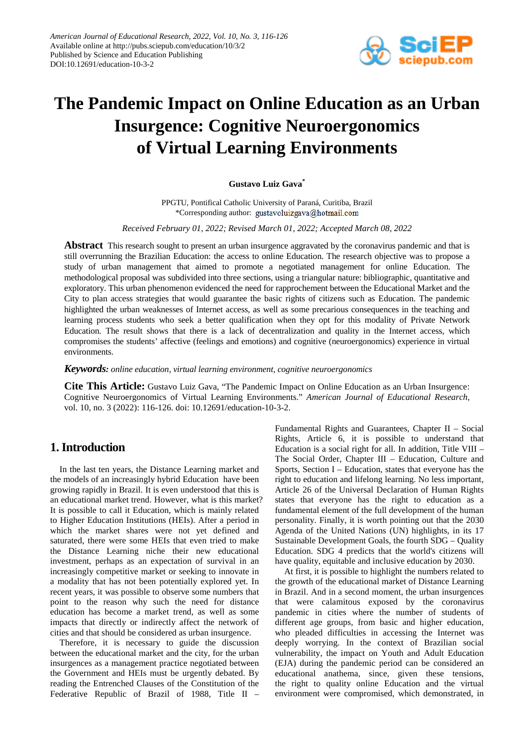

# **The Pandemic Impact on Online Education as an Urban Insurgence: Cognitive Neuroergonomics of Virtual Learning Environments**

#### **Gustavo Luiz Gava\***

PPGTU, Pontifical Catholic University of Paraná, Curitiba, Brazil \*Corresponding author: gustavoluizgava@hotmail.com

*Received February 01, 2022; Revised March 01, 2022; Accepted March 08, 2022*

**Abstract** This research sought to present an urban insurgence aggravated by the coronavirus pandemic and that is still overrunning the Brazilian Education: the access to online Education. The research objective was to propose a study of urban management that aimed to promote a negotiated management for online Education. The methodological proposal was subdivided into three sections, using a triangular nature: bibliographic, quantitative and exploratory. This urban phenomenon evidenced the need for rapprochement between the Educational Market and the City to plan access strategies that would guarantee the basic rights of citizens such as Education. The pandemic highlighted the urban weaknesses of Internet access, as well as some precarious consequences in the teaching and learning process students who seek a better qualification when they opt for this modality of Private Network Education. The result shows that there is a lack of decentralization and quality in the Internet access, which compromises the students' affective (feelings and emotions) and cognitive (neuroergonomics) experience in virtual environments.

*Keywords: online education, virtual learning environment, cognitive neuroergonomics*

**Cite This Article:** Gustavo Luiz Gava, "The Pandemic Impact on Online Education as an Urban Insurgence: Cognitive Neuroergonomics of Virtual Learning Environments." *American Journal of Educational Research*, vol. 10, no. 3 (2022): 116-126. doi: 10.12691/education-10-3-2.

## **1. Introduction**

In the last ten years, the Distance Learning market and the models of an increasingly hybrid Education have been growing rapidly in Brazil. It is even understood that this is an educational market trend. However, what is this market? It is possible to call it Education, which is mainly related to Higher Education Institutions (HEIs). After a period in which the market shares were not yet defined and saturated, there were some HEIs that even tried to make the Distance Learning niche their new educational investment, perhaps as an expectation of survival in an increasingly competitive market or seeking to innovate in a modality that has not been potentially explored yet. In recent years, it was possible to observe some numbers that point to the reason why such the need for distance education has become a market trend, as well as some impacts that directly or indirectly affect the network of cities and that should be considered as urban insurgence.

Therefore, it is necessary to guide the discussion between the educational market and the city, for the urban insurgences as a management practice negotiated between the Government and HEIs must be urgently debated. By reading the Entrenched Clauses of the Constitution of the Federative Republic of Brazil of 1988, Title II – Fundamental Rights and Guarantees, Chapter II – Social Rights, Article 6, it is possible to understand that Education is a social right for all. In addition, Title VIII – The Social Order, Chapter III – Education, Culture and Sports, Section I – Education, states that everyone has the right to education and lifelong learning. No less important, Article 26 of the Universal Declaration of Human Rights states that everyone has the right to education as a fundamental element of the full development of the human personality. Finally, it is worth pointing out that the 2030 Agenda of the United Nations (UN) highlights, in its 17 Sustainable Development Goals, the fourth SDG – Quality Education. SDG 4 predicts that the world's citizens will have quality, equitable and inclusive education by 2030.

At first, it is possible to highlight the numbers related to the growth of the educational market of Distance Learning in Brazil. And in a second moment, the urban insurgences that were calamitous exposed by the coronavirus pandemic in cities where the number of students of different age groups, from basic and higher education, who pleaded difficulties in accessing the Internet was deeply worrying. In the context of Brazilian social vulnerability, the impact on Youth and Adult Education (EJA) during the pandemic period can be considered an educational anathema, since, given these tensions, the right to quality online Education and the virtual environment were compromised, which demonstrated, in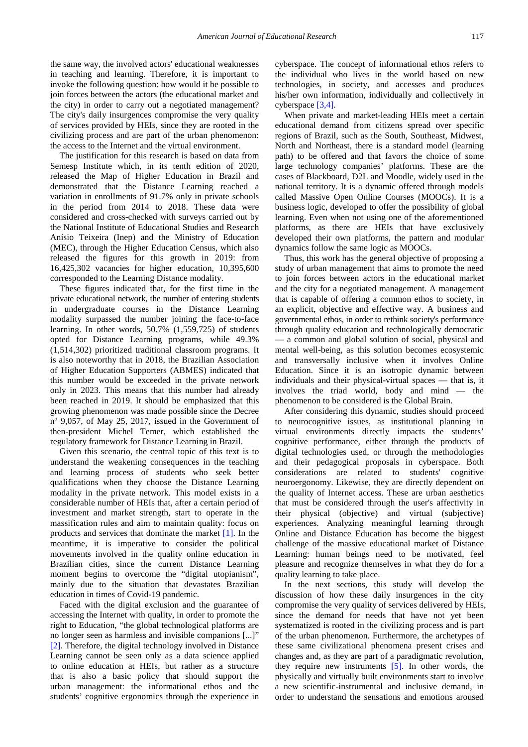the same way, the involved actors' educational weaknesses in teaching and learning. Therefore, it is important to invoke the following question: how would it be possible to join forces between the actors (the educational market and the city) in order to carry out a negotiated management? The city's daily insurgences compromise the very quality of services provided by HEIs, since they are rooted in the civilizing process and are part of the urban phenomenon: the access to the Internet and the virtual environment.

The justification for this research is based on data from Semesp Institute which, in its tenth edition of 2020, released the Map of Higher Education in Brazil and demonstrated that the Distance Learning reached a variation in enrollments of 91.7% only in private schools in the period from 2014 to 2018. These data were considered and cross-checked with surveys carried out by the National Institute of Educational Studies and Research Anísio Teixeira (Inep) and the Ministry of Education (MEC), through the Higher Education Census, which also released the figures for this growth in 2019: from 16,425,302 vacancies for higher education, 10,395,600 corresponded to the Learning Distance modality.

These figures indicated that, for the first time in the private educational network, the number of entering students in undergraduate courses in the Distance Learning modality surpassed the number joining the face-to-face learning. In other words, 50.7% (1,559,725) of students opted for Distance Learning programs, while 49.3% (1,514,302) prioritized traditional classroom programs. It is also noteworthy that in 2018, the Brazilian Association of Higher Education Supporters (ABMES) indicated that this number would be exceeded in the private network only in 2023. This means that this number had already been reached in 2019. It should be emphasized that this growing phenomenon was made possible since the Decree nº 9,057, of May 25, 2017, issued in the Government of then-president Michel Temer, which established the regulatory framework for Distance Learning in Brazil.

Given this scenario, the central topic of this text is to understand the weakening consequences in the teaching and learning process of students who seek better qualifications when they choose the Distance Learning modality in the private network. This model exists in a considerable number of HEIs that, after a certain period of investment and market strength, start to operate in the massification rules and aim to maintain quality: focus on products and services that dominate the market [\[1\].](#page-9-0) In the meantime, it is imperative to consider the political movements involved in the quality online education in Brazilian cities, since the current Distance Learning moment begins to overcome the "digital utopianism", mainly due to the situation that devastates Brazilian education in times of Covid-19 pandemic.

Faced with the digital exclusion and the guarantee of accessing the Internet with quality, in order to promote the right to Education, "the global technological platforms are no longer seen as harmless and invisible companions [...]" [\[2\].](#page-9-1) Therefore, the digital technology involved in Distance Learning cannot be seen only as a data science applied to online education at HEIs, but rather as a structure that is also a basic policy that should support the urban management: the informational ethos and the students' cognitive ergonomics through the experience in

cyberspace. The concept of informational ethos refers to the individual who lives in the world based on new technologies, in society, and accesses and produces his/her own information, individually and collectively in cyberspace [\[3,4\].](#page-9-2)

When private and market-leading HEIs meet a certain educational demand from citizens spread over specific regions of Brazil, such as the South, Southeast, Midwest, North and Northeast, there is a standard model (learning path) to be offered and that favors the choice of some large technology companies' platforms. These are the cases of Blackboard, D2L and Moodle, widely used in the national territory. It is a dynamic offered through models called Massive Open Online Courses (MOOCs). It is a business logic, developed to offer the possibility of global learning. Even when not using one of the aforementioned platforms, as there are HEIs that have exclusively developed their own platforms, the pattern and modular dynamics follow the same logic as MOOCs.

Thus, this work has the general objective of proposing a study of urban management that aims to promote the need to join forces between actors in the educational market and the city for a negotiated management. A management that is capable of offering a common ethos to society, in an explicit, objective and effective way. A business and governmental ethos, in order to rethink society's performance through quality education and technologically democratic — a common and global solution of social, physical and mental well-being, as this solution becomes ecosystemic and transversally inclusive when it involves Online Education. Since it is an isotropic dynamic between individuals and their physical-virtual spaces — that is, it involves the triad world, body and mind — the phenomenon to be considered is the Global Brain.

After considering this dynamic, studies should proceed to neurocognitive issues, as institutional planning in virtual environments directly impacts the students' cognitive performance, either through the products of digital technologies used, or through the methodologies and their pedagogical proposals in cyberspace. Both considerations are related to students' cognitive neuroergonomy. Likewise, they are directly dependent on the quality of Internet access. These are urban aesthetics that must be considered through the user's affectivity in their physical (objective) and virtual (subjective) experiences. Analyzing meaningful learning through Online and Distance Education has become the biggest challenge of the massive educational market of Distance Learning: human beings need to be motivated, feel pleasure and recognize themselves in what they do for a quality learning to take place.

In the next sections, this study will develop the discussion of how these daily insurgences in the city compromise the very quality of services delivered by HEIs, since the demand for needs that have not yet been systematized is rooted in the civilizing process and is part of the urban phenomenon. Furthermore, the archetypes of these same civilizational phenomena present crises and changes and, as they are part of a paradigmatic revolution, they require new instruments [\[5\].](#page-9-3) In other words, the physically and virtually built environments start to involve a new scientific-instrumental and inclusive demand, in order to understand the sensations and emotions aroused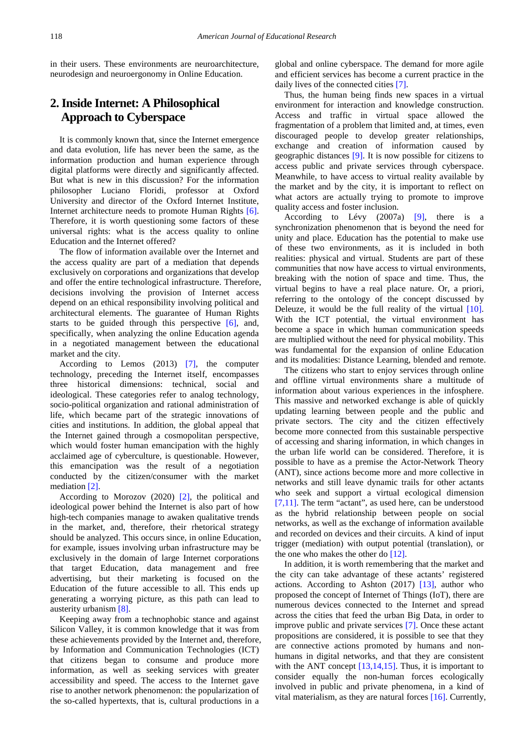in their users. These environments are neuroarchitecture, neurodesign and neuroergonomy in Online Education.

# **2. Inside Internet: A Philosophical Approach to Cyberspace**

It is commonly known that, since the Internet emergence and data evolution, life has never been the same, as the information production and human experience through digital platforms were directly and significantly affected. But what is new in this discussion? For the information philosopher Luciano Floridi, professor at Oxford University and director of the Oxford Internet Institute, Internet architecture needs to promote Human Rights [\[6\].](#page-9-4) Therefore, it is worth questioning some factors of these universal rights: what is the access quality to online Education and the Internet offered?

The flow of information available over the Internet and the access quality are part of a mediation that depends exclusively on corporations and organizations that develop and offer the entire technological infrastructure. Therefore, decisions involving the provision of Internet access depend on an ethical responsibility involving political and architectural elements. The guarantee of Human Rights starts to be guided through this perspective  $[6]$ , and, specifically, when analyzing the online Education agenda in a negotiated management between the educational market and the city.

According to Lemos (2013) [\[7\],](#page-9-5) the computer technology, preceding the Internet itself, encompasses three historical dimensions: technical, social and ideological. These categories refer to analog technology, socio-political organization and rational administration of life, which became part of the strategic innovations of cities and institutions. In addition, the global appeal that the Internet gained through a cosmopolitan perspective, which would foster human emancipation with the highly acclaimed age of cyberculture, is questionable. However, this emancipation was the result of a negotiation conducted by the citizen/consumer with the market mediation [\[2\].](#page-9-1)

According to Morozov (2020) [\[2\],](#page-9-1) the political and ideological power behind the Internet is also part of how high-tech companies manage to awaken qualitative trends in the market, and, therefore, their rhetorical strategy should be analyzed. This occurs since, in online Education, for example, issues involving urban infrastructure may be exclusively in the domain of large Internet corporations that target Education, data management and free advertising, but their marketing is focused on the Education of the future accessible to all. This ends up generating a worrying picture, as this path can lead to austerity urbanism [\[8\].](#page-9-6)

Keeping away from a technophobic stance and against Silicon Valley, it is common knowledge that it was from these achievements provided by the Internet and, therefore, by Information and Communication Technologies (ICT) that citizens began to consume and produce more information, as well as seeking services with greater accessibility and speed. The access to the Internet gave rise to another network phenomenon: the popularization of the so-called hypertexts, that is, cultural productions in a

global and online cyberspace. The demand for more agile and efficient services has become a current practice in the daily lives of the connected cities [\[7\].](#page-9-5)

Thus, the human being finds new spaces in a virtual environment for interaction and knowledge construction. Access and traffic in virtual space allowed the fragmentation of a problem that limited and, at times, even discouraged people to develop greater relationships, exchange and creation of information caused by geographic distances [\[9\].](#page-9-7) It is now possible for citizens to access public and private services through cyberspace. Meanwhile, to have access to virtual reality available by the market and by the city, it is important to reflect on what actors are actually trying to promote to improve quality access and foster inclusion.

According to Lévy (2007a) [\[9\],](#page-9-7) there is a synchronization phenomenon that is beyond the need for unity and place. Education has the potential to make use of these two environments, as it is included in both realities: physical and virtual. Students are part of these communities that now have access to virtual environments, breaking with the notion of space and time. Thus, the virtual begins to have a real place nature. Or, a priori, referring to the ontology of the concept discussed by Deleuze, it would be the full reality of the virtual [\[10\].](#page-9-8) With the ICT potential, the virtual environment has become a space in which human communication speeds are multiplied without the need for physical mobility. This was fundamental for the expansion of online Education and its modalities: Distance Learning, blended and remote.

The citizens who start to enjoy services through online and offline virtual environments share a multitude of information about various experiences in the infosphere. This massive and networked exchange is able of quickly updating learning between people and the public and private sectors. The city and the citizen effectively become more connected from this sustainable perspective of accessing and sharing information, in which changes in the urban life world can be considered. Therefore, it is possible to have as a premise the Actor-Network Theory (ANT), since actions become more and more collective in networks and still leave dynamic trails for other actants who seek and support a virtual ecological dimension [\[7,11\].](#page-9-5) The term "actant", as used here, can be understood as the hybrid relationship between people on social networks, as well as the exchange of information available and recorded on devices and their circuits. A kind of input trigger (mediation) with output potential (translation), or the one who makes the other do [\[12\].](#page-9-9)

In addition, it is worth remembering that the market and the city can take advantage of these actants' registered actions. According to Ashton (2017) [\[13\],](#page-9-10) author who proposed the concept of Internet of Things (IoT), there are numerous devices connected to the Internet and spread across the cities that feed the urban Big Data, in order to improve public and private services [\[7\].](#page-9-5) Once these actant propositions are considered, it is possible to see that they are connective actions promoted by humans and nonhumans in digital networks, and that they are consistent with the ANT concept  $[13,14,15]$ . Thus, it is important to consider equally the non-human forces ecologically involved in public and private phenomena, in a kind of vital materialism, as they are natural forces [\[16\].](#page-9-11) Currently,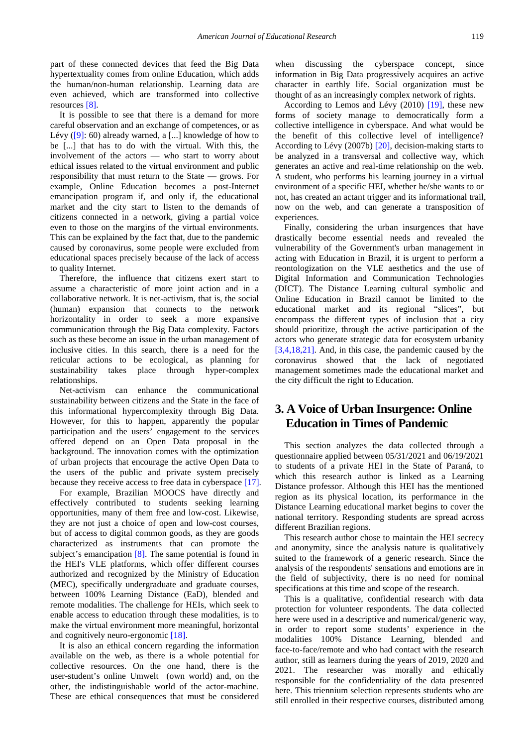part of these connected devices that feed the Big Data hypertextuality comes from online Education, which adds the human/non-human relationship. Learning data are even achieved, which are transformed into collective resources [\[8\].](#page-9-6)

It is possible to see that there is a demand for more careful observation and an exchange of competences, or as Lévy [\(\[9\]:](#page-9-7) 60) already warned, a [...] knowledge of how to be [...] that has to do with the virtual. With this, the involvement of the actors — who start to worry about ethical issues related to the virtual environment and public responsibility that must return to the State — grows. For example, Online Education becomes a post-Internet emancipation program if, and only if, the educational market and the city start to listen to the demands of citizens connected in a network, giving a partial voice even to those on the margins of the virtual environments. This can be explained by the fact that, due to the pandemic caused by coronavirus, some people were excluded from educational spaces precisely because of the lack of access to quality Internet.

Therefore, the influence that citizens exert start to assume a characteristic of more joint action and in a collaborative network. It is net-activism, that is, the social (human) expansion that connects to the network horizontality in order to seek a more expansive communication through the Big Data complexity. Factors such as these become an issue in the urban management of inclusive cities. In this search, there is a need for the reticular actions to be ecological, as planning for sustainability takes place through hyper-complex relationships.

Net-activism can enhance the communicational sustainability between citizens and the State in the face of this informational hypercomplexity through Big Data. However, for this to happen, apparently the popular participation and the users' engagement to the services offered depend on an Open Data proposal in the background. The innovation comes with the optimization of urban projects that encourage the active Open Data to the users of the public and private system precisely because they receive access to free data in cyberspace [\[17\].](#page-9-12)

For example, Brazilian MOOCS have directly and effectively contributed to students seeking learning opportunities, many of them free and low-cost. Likewise, they are not just a choice of open and low-cost courses, but of access to digital common goods, as they are goods characterized as instruments that can promote the subject's emancipation [\[8\].](#page-9-6) The same potential is found in the HEI's VLE platforms, which offer different courses authorized and recognized by the Ministry of Education (MEC), specifically undergraduate and graduate courses, between 100% Learning Distance (EaD), blended and remote modalities. The challenge for HEIs, which seek to enable access to education through these modalities, is to make the virtual environment more meaningful, horizontal and cognitively neuro-ergonomic [\[18\].](#page-9-13)

It is also an ethical concern regarding the information available on the web, as there is a whole potential for collective resources. On the one hand, there is the user-student's online Umwelt (own world) and, on the other, the indistinguishable world of the actor-machine. These are ethical consequences that must be considered

when discussing the cyberspace concept, since information in Big Data progressively acquires an active character in earthly life. Social organization must be thought of as an increasingly complex network of rights.

According to Lemos and Lévy (2010) [\[19\],](#page-9-14) these new forms of society manage to democratically form a collective intelligence in cyberspace. And what would be the benefit of this collective level of intelligence? According to Lévy (2007b) [\[20\],](#page-9-15) decision-making starts to be analyzed in a transversal and collective way, which generates an active and real-time relationship on the web. A student, who performs his learning journey in a virtual environment of a specific HEI, whether he/she wants to or not, has created an actant trigger and its informational trail, now on the web, and can generate a transposition of experiences.

Finally, considering the urban insurgences that have drastically become essential needs and revealed the vulnerability of the Government's urban management in acting with Education in Brazil, it is urgent to perform a reontologization on the VLE aesthetics and the use of Digital Information and Communication Technologies (DICT). The Distance Learning cultural symbolic and Online Education in Brazil cannot be limited to the educational market and its regional "slices", but encompass the different types of inclusion that a city should prioritize, through the active participation of the actors who generate strategic data for ecosystem urbanity [\[3,4,18,21\].](#page-9-2) And, in this case, the pandemic caused by the coronavirus showed that the lack of negotiated management sometimes made the educational market and the city difficult the right to Education.

## **3. A Voice of Urban Insurgence: Online Education in Times of Pandemic**

This section analyzes the data collected through a questionnaire applied between 05/31/2021 and 06/19/2021 to students of a private HEI in the State of Paraná, to which this research author is linked as a Learning Distance professor. Although this HEI has the mentioned region as its physical location, its performance in the Distance Learning educational market begins to cover the national territory. Responding students are spread across different Brazilian regions.

This research author chose to maintain the HEI secrecy and anonymity, since the analysis nature is qualitatively suited to the framework of a generic research. Since the analysis of the respondents' sensations and emotions are in the field of subjectivity, there is no need for nominal specifications at this time and scope of the research.

This is a qualitative, confidential research with data protection for volunteer respondents. The data collected here were used in a descriptive and numerical/generic way, in order to report some students' experience in the modalities 100% Distance Learning, blended and face-to-face/remote and who had contact with the research author, still as learners during the years of 2019, 2020 and 2021. The researcher was morally and ethically responsible for the confidentiality of the data presented here. This triennium selection represents students who are still enrolled in their respective courses, distributed among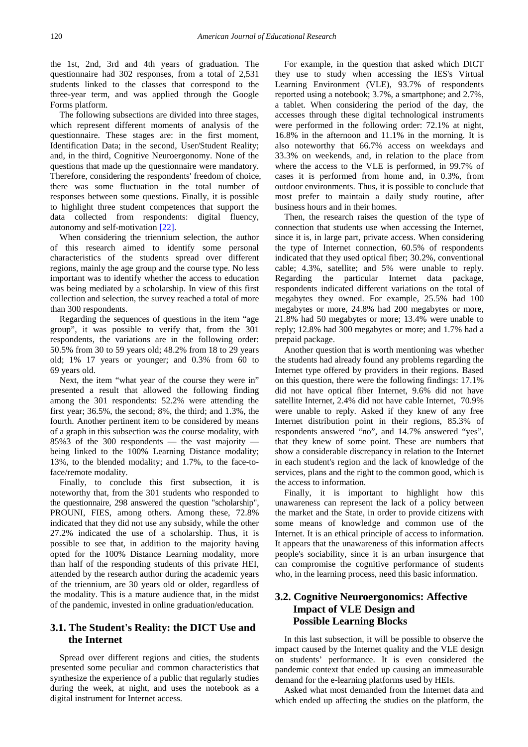the 1st, 2nd, 3rd and 4th years of graduation. The questionnaire had 302 responses, from a total of 2,531 students linked to the classes that correspond to the three-year term, and was applied through the Google Forms platform.

The following subsections are divided into three stages, which represent different moments of analysis of the questionnaire. These stages are: in the first moment, Identification Data; in the second, User/Student Reality; and, in the third, Cognitive Neuroergonomy. None of the questions that made up the questionnaire were mandatory. Therefore, considering the respondents' freedom of choice, there was some fluctuation in the total number of responses between some questions. Finally, it is possible to highlight three student competences that support the data collected from respondents: digital fluency, autonomy and self-motivatio[n \[22\].](#page-9-16)

When considering the triennium selection, the author of this research aimed to identify some personal characteristics of the students spread over different regions, mainly the age group and the course type. No less important was to identify whether the access to education was being mediated by a scholarship. In view of this first collection and selection, the survey reached a total of more than 300 respondents.

Regarding the sequences of questions in the item "age group", it was possible to verify that, from the 301 respondents, the variations are in the following order: 50.5% from 30 to 59 years old; 48.2% from 18 to 29 years old; 1% 17 years or younger; and 0.3% from 60 to 69 years old.

Next, the item "what year of the course they were in" presented a result that allowed the following finding among the 301 respondents: 52.2% were attending the first year; 36.5%, the second; 8%, the third; and 1.3%, the fourth. Another pertinent item to be considered by means of a graph in this subsection was the course modality, with 85%3 of the 300 respondents — the vast majority being linked to the 100% Learning Distance modality; 13%, to the blended modality; and 1.7%, to the face-toface/remote modality.

Finally, to conclude this first subsection, it is noteworthy that, from the 301 students who responded to the questionnaire, 298 answered the question "scholarship", PROUNI, FIES, among others. Among these, 72.8% indicated that they did not use any subsidy, while the other 27.2% indicated the use of a scholarship. Thus, it is possible to see that, in addition to the majority having opted for the 100% Distance Learning modality, more than half of the responding students of this private HEI, attended by the research author during the academic years of the triennium, are 30 years old or older, regardless of the modality. This is a mature audience that, in the midst of the pandemic, invested in online graduation/education.

#### **3.1. The Student's Reality: the DICT Use and the Internet**

Spread over different regions and cities, the students presented some peculiar and common characteristics that synthesize the experience of a public that regularly studies during the week, at night, and uses the notebook as a digital instrument for Internet access.

For example, in the question that asked which DICT they use to study when accessing the IES's Virtual Learning Environment (VLE), 93.7% of respondents reported using a notebook; 3.7%, a smartphone; and 2.7%, a tablet. When considering the period of the day, the accesses through these digital technological instruments were performed in the following order: 72.1% at night, 16.8% in the afternoon and 11.1% in the morning. It is also noteworthy that 66.7% access on weekdays and 33.3% on weekends, and, in relation to the place from where the access to the VLE is performed, in 99.7% of cases it is performed from home and, in 0.3%, from outdoor environments. Thus, it is possible to conclude that most prefer to maintain a daily study routine, after business hours and in their homes.

Then, the research raises the question of the type of connection that students use when accessing the Internet, since it is, in large part, private access. When considering the type of Internet connection, 60.5% of respondents indicated that they used optical fiber; 30.2%, conventional cable; 4.3%, satellite; and 5% were unable to reply. Regarding the particular Internet data package, respondents indicated different variations on the total of megabytes they owned. For example, 25.5% had 100 megabytes or more, 24.8% had 200 megabytes or more, 21.8% had 50 megabytes or more; 13.4% were unable to reply; 12.8% had 300 megabytes or more; and 1.7% had a prepaid package.

Another question that is worth mentioning was whether the students had already found any problems regarding the Internet type offered by providers in their regions. Based on this question, there were the following findings: 17.1% did not have optical fiber Internet, 9.6% did not have satellite Internet, 2.4% did not have cable Internet, 70.9% were unable to reply. Asked if they knew of any free Internet distribution point in their regions, 85.3% of respondents answered "no", and 14.7% answered "yes", that they knew of some point. These are numbers that show a considerable discrepancy in relation to the Internet in each student's region and the lack of knowledge of the services, plans and the right to the common good, which is the access to information.

Finally, it is important to highlight how this unawareness can represent the lack of a policy between the market and the State, in order to provide citizens with some means of knowledge and common use of the Internet. It is an ethical principle of access to information. It appears that the unawareness of this information affects people's sociability, since it is an urban insurgence that can compromise the cognitive performance of students who, in the learning process, need this basic information.

#### **3.2. Cognitive Neuroergonomics: Affective Impact of VLE Design and Possible Learning Blocks**

In this last subsection, it will be possible to observe the impact caused by the Internet quality and the VLE design on students' performance. It is even considered the pandemic context that ended up causing an immeasurable demand for the e-learning platforms used by HEIs.

Asked what most demanded from the Internet data and which ended up affecting the studies on the platform, the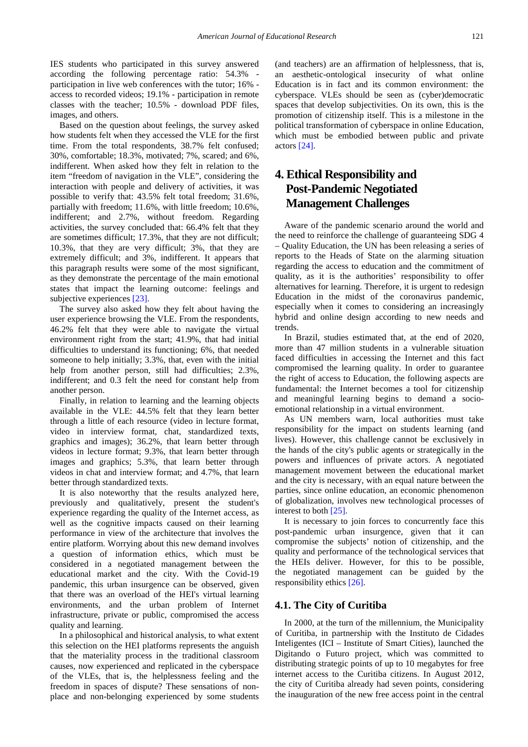IES students who participated in this survey answered according the following percentage ratio: 54.3% participation in live web conferences with the tutor; 16% access to recorded videos; 19.1% - participation in remote classes with the teacher; 10.5% - download PDF files, images, and others.

Based on the question about feelings, the survey asked how students felt when they accessed the VLE for the first time. From the total respondents, 38.7% felt confused; 30%, comfortable; 18.3%, motivated; 7%, scared; and 6%, indifferent. When asked how they felt in relation to the item "freedom of navigation in the VLE", considering the interaction with people and delivery of activities, it was possible to verify that: 43.5% felt total freedom; 31.6%, partially with freedom; 11.6%, with little freedom; 10.6%, indifferent; and 2.7%, without freedom. Regarding activities, the survey concluded that: 66.4% felt that they are sometimes difficult; 17.3%, that they are not difficult; 10.3%, that they are very difficult; 3%, that they are extremely difficult; and 3%, indifferent. It appears that this paragraph results were some of the most significant, as they demonstrate the percentage of the main emotional states that impact the learning outcome: feelings and subjective experiences [\[23\].](#page-9-17)

The survey also asked how they felt about having the user experience browsing the VLE. From the respondents, 46.2% felt that they were able to navigate the virtual environment right from the start; 41.9%, that had initial difficulties to understand its functioning; 6%, that needed someone to help initially; 3.3%, that, even with the initial help from another person, still had difficulties; 2.3%, indifferent; and 0.3 felt the need for constant help from another person.

Finally, in relation to learning and the learning objects available in the VLE: 44.5% felt that they learn better through a little of each resource (video in lecture format, video in interview format, chat, standardized texts, graphics and images); 36.2%, that learn better through videos in lecture format; 9.3%, that learn better through images and graphics; 5.3%, that learn better through videos in chat and interview format; and 4.7%, that learn better through standardized texts.

It is also noteworthy that the results analyzed here, previously and qualitatively, present the student's experience regarding the quality of the Internet access, as well as the cognitive impacts caused on their learning performance in view of the architecture that involves the entire platform. Worrying about this new demand involves a question of information ethics, which must be considered in a negotiated management between the educational market and the city. With the Covid-19 pandemic, this urban insurgence can be observed, given that there was an overload of the HEI's virtual learning environments, and the urban problem of Internet infrastructure, private or public, compromised the access quality and learning.

In a philosophical and historical analysis, to what extent this selection on the HEI platforms represents the anguish that the materiality process in the traditional classroom causes, now experienced and replicated in the cyberspace of the VLEs, that is, the helplessness feeling and the freedom in spaces of dispute? These sensations of nonplace and non-belonging experienced by some students

(and teachers) are an affirmation of helplessness, that is, an aesthetic-ontological insecurity of what online Education is in fact and its common environment: the cyberspace. VLEs should be seen as (cyber)democratic spaces that develop subjectivities. On its own, this is the promotion of citizenship itself. This is a milestone in the political transformation of cyberspace in online Education, which must be embodied between public and private actor[s \[24\].](#page-9-18)

# **4. Ethical Responsibility and Post-Pandemic Negotiated Management Challenges**

Aware of the pandemic scenario around the world and the need to reinforce the challenge of guaranteeing SDG 4 – Quality Education, the UN has been releasing a series of reports to the Heads of State on the alarming situation regarding the access to education and the commitment of quality, as it is the authorities' responsibility to offer alternatives for learning. Therefore, it is urgent to redesign Education in the midst of the coronavirus pandemic, especially when it comes to considering an increasingly hybrid and online design according to new needs and trends.

In Brazil, studies estimated that, at the end of 2020, more than 47 million students in a vulnerable situation faced difficulties in accessing the Internet and this fact compromised the learning quality. In order to guarantee the right of access to Education, the following aspects are fundamental: the Internet becomes a tool for citizenship and meaningful learning begins to demand a socioemotional relationship in a virtual environment.

As UN members warn, local authorities must take responsibility for the impact on students learning (and lives). However, this challenge cannot be exclusively in the hands of the city's public agents or strategically in the powers and influences of private actors. A negotiated management movement between the educational market and the city is necessary, with an equal nature between the parties, since online education, an economic phenomenon of globalization, involves new technological processes of interest to bot[h \[25\].](#page-9-19)

It is necessary to join forces to concurrently face this post-pandemic urban insurgence, given that it can compromise the subjects' notion of citizenship, and the quality and performance of the technological services that the HEIs deliver. However, for this to be possible, the negotiated management can be guided by the responsibility ethics [\[26\].](#page-9-20)

#### **4.1. The City of Curitiba**

In 2000, at the turn of the millennium, the Municipality of Curitiba, in partnership with the Instituto de Cidades Inteligentes (ICI – Institute of Smart Cities), launched the Digitando o Futuro project, which was committed to distributing strategic points of up to 10 megabytes for free internet access to the Curitiba citizens. In August 2012, the city of Curitiba already had seven points, considering the inauguration of the new free access point in the central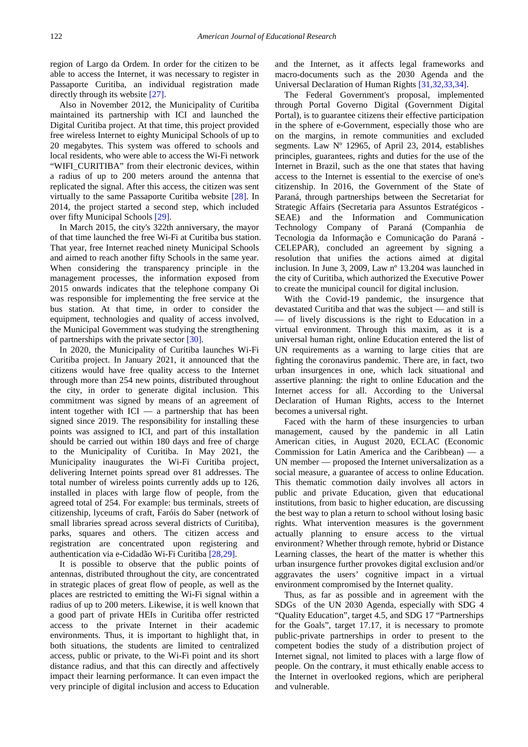region of Largo da Ordem. In order for the citizen to be able to access the Internet, it was necessary to register in Passaporte Curitiba, an individual registration made directly through its website [\[27\].](#page-9-21)

Also in November 2012, the Municipality of Curitiba maintained its partnership with ICI and launched the Digital Curitiba project. At that time, this project provided free wireless Internet to eighty Municipal Schools of up to 20 megabytes. This system was offered to schools and local residents, who were able to access the Wi-Fi network "WIFI\_CURITIBA" from their electronic devices, within a radius of up to 200 meters around the antenna that replicated the signal. After this access, the citizen was sent virtually to the same Passaporte Curitiba website [\[28\].](#page-9-22) In 2014, the project started a second step, which included over fifty Municipal Schools [\[29\].](#page-9-23)

In March 2015, the city's 322th anniversary, the mayor of that time launched the free Wi-Fi at Curitiba bus station. That year, free Internet reached ninety Municipal Schools and aimed to reach another fifty Schools in the same year. When considering the transparency principle in the management processes, the information exposed from 2015 onwards indicates that the telephone company Oi was responsible for implementing the free service at the bus station. At that time, in order to consider the equipment, technologies and quality of access involved, the Municipal Government was studying the strengthening of partnerships with the private sector [\[30\].](#page-9-24)

In 2020, the Municipality of Curitiba launches Wi-Fi Curitiba project. In January 2021, it announced that the citizens would have free quality access to the Internet through more than 254 new points, distributed throughout the city, in order to generate digital inclusion. This commitment was signed by means of an agreement of intent together with ICI — a partnership that has been signed since 2019. The responsibility for installing these points was assigned to ICI, and part of this installation should be carried out within 180 days and free of charge to the Municipality of Curitiba. In May 2021, the Municipality inaugurates the Wi-Fi Curitiba project, delivering Internet points spread over 81 addresses. The total number of wireless points currently adds up to 126, installed in places with large flow of people, from the agreed total of 254. For example: bus terminals, streets of citizenship, lyceums of craft, Faróis do Saber (network of small libraries spread across several districts of Curitiba), parks, squares and others. The citizen access and registration are concentrated upon registering and authentication via e-Cidadão Wi-Fi Curitiba [\[28,29\].](#page-9-22)

It is possible to observe that the public points of antennas, distributed throughout the city, are concentrated in strategic places of great flow of people, as well as the places are restricted to emitting the Wi-Fi signal within a radius of up to 200 meters. Likewise, it is well known that a good part of private HEIs in Curitiba offer restricted access to the private Internet in their academic environments. Thus, it is important to highlight that, in both situations, the students are limited to centralized access, public or private, to the Wi-Fi point and its short distance radius, and that this can directly and affectively impact their learning performance. It can even impact the very principle of digital inclusion and access to Education

and the Internet, as it affects legal frameworks and macro-documents such as the 2030 Agenda and the Universal Declaration of Human Rights [\[31,32,33,34\].](#page-9-25)

The Federal Government's proposal, implemented through Portal Governo Digital (Government Digital Portal), is to guarantee citizens their effective participation in the sphere of e-Government, especially those who are on the margins, in remote communities and excluded segments. Law Nº 12965, of April 23, 2014, establishes principles, guarantees, rights and duties for the use of the Internet in Brazil, such as the one that states that having access to the Internet is essential to the exercise of one's citizenship. In 2016, the Government of the State of Paraná, through partnerships between the Secretariat for Strategic Affairs (Secretaria para Assuntos Estratégicos - SEAE) and the Information and Communication Technology Company of Paraná (Companhia de Tecnologia da Informação e Comunicação do Paraná - CELEPAR), concluded an agreement by signing a resolution that unifies the actions aimed at digital inclusion. In June 3, 2009, Law nº 13.204 was launched in the city of Curitiba, which authorized the Executive Power to create the municipal council for digital inclusion.

With the Covid-19 pandemic, the insurgence that devastated Curitiba and that was the subject — and still is — of lively discussions is the right to Education in a virtual environment. Through this maxim, as it is a universal human right, online Education entered the list of UN requirements as a warning to large cities that are fighting the coronavirus pandemic. There are, in fact, two urban insurgences in one, which lack situational and assertive planning: the right to online Education and the Internet access for all. According to the Universal Declaration of Human Rights, access to the Internet becomes a universal right.

Faced with the harm of these insurgencies to urban management, caused by the pandemic in all Latin American cities, in August 2020, ECLAC (Economic Commission for Latin America and the Caribbean) — a UN member — proposed the Internet universalization as a social measure, a guarantee of access to online Education. This thematic commotion daily involves all actors in public and private Education, given that educational institutions, from basic to higher education, are discussing the best way to plan a return to school without losing basic rights. What intervention measures is the government actually planning to ensure access to the virtual environment? Whether through remote, hybrid or Distance Learning classes, the heart of the matter is whether this urban insurgence further provokes digital exclusion and/or aggravates the users' cognitive impact in a virtual environment compromised by the Internet quality.

Thus, as far as possible and in agreement with the SDGs of the UN 2030 Agenda, especially with SDG 4 "Quality Education", target 4.5, and SDG 17 "Partnerships for the Goals", target 17.17, it is necessary to promote public-private partnerships in order to present to the competent bodies the study of a distribution project of Internet signal, not limited to places with a large flow of people. On the contrary, it must ethically enable access to the Internet in overlooked regions, which are peripheral and vulnerable.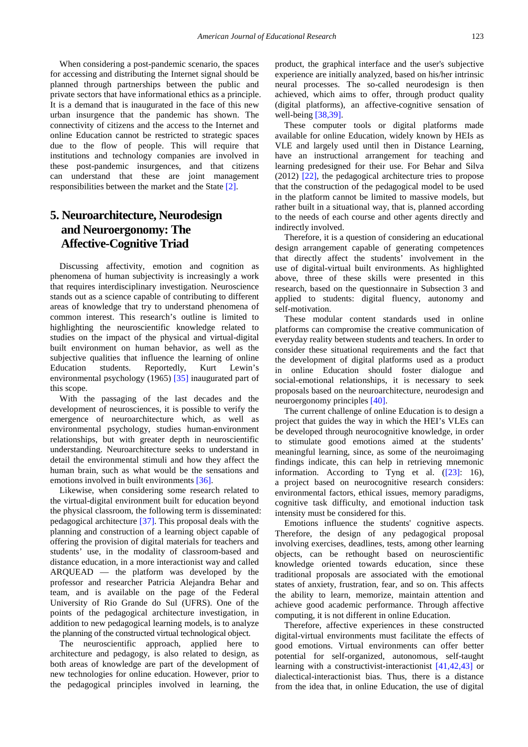When considering a post-pandemic scenario, the spaces for accessing and distributing the Internet signal should be planned through partnerships between the public and private sectors that have informational ethics as a principle. It is a demand that is inaugurated in the face of this new urban insurgence that the pandemic has shown. The connectivity of citizens and the access to the Internet and online Education cannot be restricted to strategic spaces due to the flow of people. This will require that institutions and technology companies are involved in these post-pandemic insurgences, and that citizens can understand that these are joint management responsibilities between the market and the State [\[2\].](#page-9-1)

# **5. Neuroarchitecture, Neurodesign and Neuroergonomy: The Affective-Cognitive Triad**

Discussing affectivity, emotion and cognition as phenomena of human subjectivity is increasingly a work that requires interdisciplinary investigation. Neuroscience stands out as a science capable of contributing to different areas of knowledge that try to understand phenomena of common interest. This research's outline is limited to highlighting the neuroscientific knowledge related to studies on the impact of the physical and virtual-digital built environment on human behavior, as well as the subjective qualities that influence the learning of online Education students. Reportedly, Kurt Lewin's environmental psychology (1965) [\[35\]](#page-9-26) inaugurated part of this scope.

With the passaging of the last decades and the development of neurosciences, it is possible to verify the emergence of neuroarchitecture which, as well as environmental psychology, studies human-environment relationships, but with greater depth in neuroscientific understanding. Neuroarchitecture seeks to understand in detail the environmental stimuli and how they affect the human brain, such as what would be the sensations and emotions involved in built environments [\[36\].](#page-9-27)

Likewise, when considering some research related to the virtual-digital environment built for education beyond the physical classroom, the following term is disseminated: pedagogical architecture [\[37\].](#page-9-28) This proposal deals with the planning and construction of a learning object capable of offering the provision of digital materials for teachers and students' use, in the modality of classroom-based and distance education, in a more interactionist way and called ARQUEAD — the platform was developed by the professor and researcher Patricia Alejandra Behar and team, and is available on the page of the Federal University of Rio Grande do Sul (UFRS). One of the points of the pedagogical architecture investigation, in addition to new pedagogical learning models, is to analyze the planning of the constructed virtual technological object.

The neuroscientific approach, applied here to architecture and pedagogy, is also related to design, as both areas of knowledge are part of the development of new technologies for online education. However, prior to the pedagogical principles involved in learning, the product, the graphical interface and the user's subjective experience are initially analyzed, based on his/her intrinsic neural processes. The so-called neurodesign is then achieved, which aims to offer, through product quality (digital platforms), an affective-cognitive sensation of well-being [\[38,39\].](#page-9-29)

These computer tools or digital platforms made available for online Education, widely known by HEIs as VLE and largely used until then in Distance Learning, have an instructional arrangement for teaching and learning predesigned for their use. For Behar and Silva (2012) [\[22\],](#page-9-16) the pedagogical architecture tries to propose that the construction of the pedagogical model to be used in the platform cannot be limited to massive models, but rather built in a situational way, that is, planned according to the needs of each course and other agents directly and indirectly involved.

Therefore, it is a question of considering an educational design arrangement capable of generating competences that directly affect the students' involvement in the use of digital-virtual built environments. As highlighted above, three of these skills were presented in this research, based on the questionnaire in Subsection 3 and applied to students: digital fluency, autonomy and self-motivation.

These modular content standards used in online platforms can compromise the creative communication of everyday reality between students and teachers. In order to consider these situational requirements and the fact that the development of digital platforms used as a product in online Education should foster dialogue and social-emotional relationships, it is necessary to seek proposals based on the neuroarchitecture, neurodesign and neuroergonomy principles [\[40\].](#page-9-30)

The current challenge of online Education is to design a project that guides the way in which the HEI's VLEs can be developed through neurocognitive knowledge, in order to stimulate good emotions aimed at the students' meaningful learning, since, as some of the neuroimaging findings indicate, this can help in retrieving mnemonic information. According to Tyng et al. [\(\[23\]:](#page-9-17) 16), a project based on neurocognitive research considers: environmental factors, ethical issues, memory paradigms, cognitive task difficulty, and emotional induction task intensity must be considered for this.

Emotions influence the students' cognitive aspects. Therefore, the design of any pedagogical proposal involving exercises, deadlines, tests, among other learning objects, can be rethought based on neuroscientific knowledge oriented towards education, since these traditional proposals are associated with the emotional states of anxiety, frustration, fear, and so on. This affects the ability to learn, memorize, maintain attention and achieve good academic performance. Through affective computing, it is not different in online Education.

Therefore, affective experiences in these constructed digital-virtual environments must facilitate the effects of good emotions. Virtual environments can offer better potential for self-organized, autonomous, self-taught learning with a constructivist-interactionist [\[41,42,43\]](#page-9-31) or dialectical-interactionist bias. Thus, there is a distance from the idea that, in online Education, the use of digital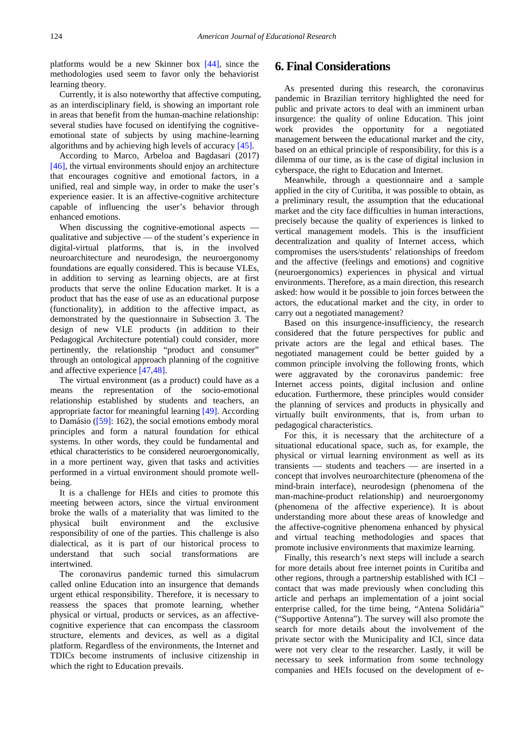platforms would be a new Skinner box [\[44\],](#page-9-32) since the methodologies used seem to favor only the behaviorist learning theory.

Currently, it is also noteworthy that affective computing, as an interdisciplinary field, is showing an important role in areas that benefit from the human-machine relationship: several studies have focused on identifying the cognitiveemotional state of subjects by using machine-learning algorithms and by achieving high levels of accurac[y \[45\].](#page-9-33)

According to Marco, Arbeloa and Bagdasari (2017) [\[46\],](#page-9-34) the virtual environments should enjoy an architecture that encourages cognitive and emotional factors, in a unified, real and simple way, in order to make the user's experience easier. It is an affective-cognitive architecture capable of influencing the user's behavior through enhanced emotions.

When discussing the cognitive-emotional aspects qualitative and subjective — of the student's experience in digital-virtual platforms, that is, in the involved neuroarchitecture and neurodesign, the neuroergonomy foundations are equally considered. This is because VLEs, in addition to serving as learning objects, are at first products that serve the online Education market. It is a product that has the ease of use as an educational purpose (functionality), in addition to the affective impact, as demonstrated by the questionnaire in Subsection 3. The design of new VLE products (in addition to their Pedagogical Architecture potential) could consider, more pertinently, the relationship "product and consumer" through an ontological approach planning of the cognitive and affective experience [\[47,48\].](#page-9-35)

The virtual environment (as a product) could have as a means the representation of the socio-emotional relationship established by students and teachers, an appropriate factor for meaningful learning [\[49\].](#page-10-0) According to Damásio ([59]: 162), the social emotions embody moral principles and form a natural foundation for ethical systems. In other words, they could be fundamental and ethical characteristics to be considered neuroergonomically, in a more pertinent way, given that tasks and activities performed in a virtual environment should promote wellbeing.

It is a challenge for HEIs and cities to promote this meeting between actors, since the virtual environment broke the walls of a materiality that was limited to the physical built environment and the exclusive responsibility of one of the parties. This challenge is also dialectical, as it is part of our historical process to understand that such social transformations are intertwined.

The coronavirus pandemic turned this simulacrum called online Education into an insurgence that demands urgent ethical responsibility. Therefore, it is necessary to reassess the spaces that promote learning, whether physical or virtual, products or services, as an affectivecognitive experience that can encompass the classroom structure, elements and devices, as well as a digital platform. Regardless of the environments, the Internet and TDICs become instruments of inclusive citizenship in which the right to Education prevails.

### **6. Final Considerations**

As presented during this research, the coronavirus pandemic in Brazilian territory highlighted the need for public and private actors to deal with an imminent urban insurgence: the quality of online Education. This joint work provides the opportunity for a negotiated management between the educational market and the city, based on an ethical principle of responsibility, for this is a dilemma of our time, as is the case of digital inclusion in cyberspace, the right to Education and Internet.

Meanwhile, through a questionnaire and a sample applied in the city of Curitiba, it was possible to obtain, as a preliminary result, the assumption that the educational market and the city face difficulties in human interactions, precisely because the quality of experiences is linked to vertical management models. This is the insufficient decentralization and quality of Internet access, which compromises the users/students' relationships of freedom and the affective (feelings and emotions) and cognitive (neuroergonomics) experiences in physical and virtual environments. Therefore, as a main direction, this research asked: how would it be possible to join forces between the actors, the educational market and the city, in order to carry out a negotiated management?

Based on this insurgence-insufficiency, the research considered that the future perspectives for public and private actors are the legal and ethical bases. The negotiated management could be better guided by a common principle involving the following fronts, which were aggravated by the coronavirus pandemic: free Internet access points, digital inclusion and online education. Furthermore, these principles would consider the planning of services and products in physically and virtually built environments, that is, from urban to pedagogical characteristics.

For this, it is necessary that the architecture of a situational educational space, such as, for example, the physical or virtual learning environment as well as its transients — students and teachers — are inserted in a concept that involves neuroarchitecture (phenomena of the mind-brain interface), neurodesign (phenomena of the man-machine-product relationship) and neuroergonomy (phenomena of the affective experience). It is about understanding more about these areas of knowledge and the affective-cognitive phenomena enhanced by physical and virtual teaching methodologies and spaces that promote inclusive environments that maximize learning.

Finally, this research's next steps will include a search for more details about free internet points in Curitiba and other regions, through a partnership established with ICI – contact that was made previously when concluding this article and perhaps an implementation of a joint social enterprise called, for the time being, "Antena Solidária" ("Supportive Antenna"). The survey will also promote the search for more details about the involvement of the private sector with the Municipality and ICI, since data were not very clear to the researcher. Lastly, it will be necessary to seek information from some technology companies and HEIs focused on the development of e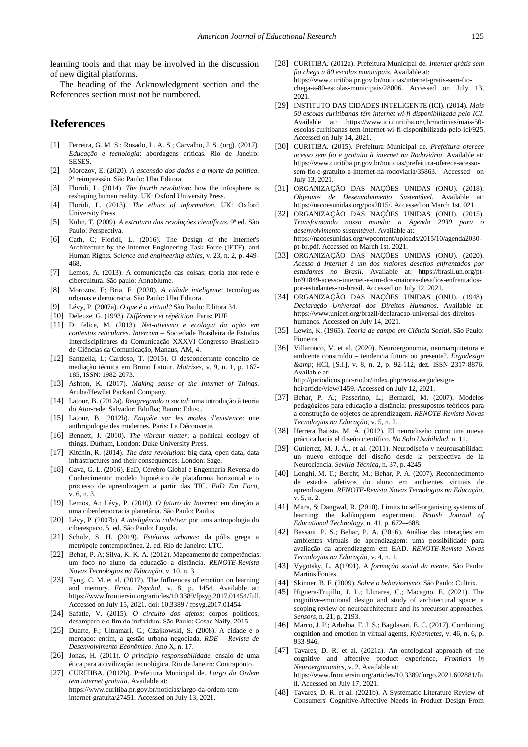learning tools and that may be involved in the discussion of new digital platforms.

The heading of the Acknowledgment section and the References section must not be numbered.

## **References**

- <span id="page-9-0"></span>[1] Ferreira, G. M. S.; Rosado, L. A. S.; Carvalho, J. S. (org). (2017). *Educação e tecnologia*: abordagens críticas. Rio de Janeiro: SESES.
- <span id="page-9-1"></span>[2] Morozov, E. (2020). *A ascensão dos dados e a morte da política*. 2ª reimpressão. São Paulo: Ubu Editora.
- <span id="page-9-2"></span>[3] Floridi, L. (2014). *The fourth revolution*: how the infosphere is reshaping human reality. UK: Oxford University Press.
- [4] Floridi, L. (2013). *The ethics of information*. UK: Oxford University Press.
- <span id="page-9-3"></span>[5] Kuhn, T. (2009). *A estrutura das revoluções científicas*. 9ª ed. São Paulo: Perspectiva.
- <span id="page-9-4"></span>[6] Cath, C; FloridI, L. (2016). The Design of the Internet's Architecture by the Internet Engineering Task Force (IETF). and Human Rights. *Science and engineering ethics*, v. 23, n. 2, p. 449- 468.
- <span id="page-9-5"></span>[7] Lemos, A. (2013). A comunicação das coisas: teoria ator-rede e cibercultura. São paulo: Annablume.
- <span id="page-9-6"></span>[8] Morozov, E; Bria, F. (2020). *A cidade inteligente*: tecnologias urbanas e democracia. São Paulo: Ubu Editora.
- <span id="page-9-7"></span>[9] Lévy, P. (2007a). *O que é o virtual?* São Paulo: Editora 34.
- <span id="page-9-8"></span>[10] Deleuze, G. (1993). *Différence et répétition*. Paris: PUF.
- [11] Di felice, M. (2013). *Net-ativismo e ecologia da ação em contextos reticulares*. *Intercom* – Sociedade Brasileira de Estudos Interdisciplinares da Comunicação XXXVI Congresso Brasileiro de Ciências da Comunicação, Manaus, AM, 4.
- <span id="page-9-9"></span>[12] Santaella, L; Cardoso, T. (2015). O desconcertante conceito de mediação técnica em Bruno Latour. *Matrizes*, v. 9, n. 1, p. 167- 185, ISSN: 1982-2073.
- <span id="page-9-10"></span>[13] Ashton, K. (2017). *Making sense of the Internet of Things*. Aruba/Hewllet Packard Company.
- [14] Latour, B. (2012a). *Reagregando o social*: uma introdução à teoria do Ator-rede. Salvador: Edufba; Bauru: Edusc.
- [15] Latour, B. (2012b). *Enquête sur les modes d'existence*: une anthropologie des modernes. Paris: La Découverte.
- <span id="page-9-11"></span>[16] Bennett, J. (2010). *The vibrant matter*: a political ecology of things. Durham, London: Duke University Press.
- <span id="page-9-12"></span>[17] Kitchin, R. (2014). *The data revolution*: big data, open data, data infrastructures and their consequences. London: Sage.
- <span id="page-9-13"></span>[18] Gava, G. L. (2016). EaD, Cérebro Global e Engenharia Reversa do Conhecimento: modelo hipotético de plataforma horizontal e o processo de aprendizagem a partir das TIC. *EaD Em Foco*, v. 6, n. 3.
- <span id="page-9-14"></span>[19] Lemos, A.; Lévy, P. (2010*). O futuro da Internet*: em direção a uma ciberdemocracia planetária. São Paulo: Paulus.
- <span id="page-9-15"></span>[20] Lévy, P. (2007b). *A inteligência coletiva*: por uma antropologia do ciberespaco. 5. ed. São Paulo: Loyola.
- [21] Schulz, S. H. (2019). *Estéticas urbanas*: da pólis grega a metrópole contemporânea. 2. ed. Rio de Janeiro: LTC.
- <span id="page-9-16"></span>[22] Behar, P. A; Silva, K. K. A. (2012). Mapeamento de competências: um foco no aluno da educação a distância. *RENOTE-Revista Novas Tecnologias na Educação*, v. 10, n. 3.
- <span id="page-9-17"></span>[23] Tyng, C. M. et al. (2017). The Influences of emotion on learning and memory. *Front. Psychol*, v. 8, p. 1454. Available at: https://www.frontiersin.org/articles/10.3389/fpsyg.2017.01454/full. Accessed on July 15, 2021. doi: 10.3389 / fpsyg.2017.01454
- <span id="page-9-18"></span>[24] Safatle, V. (2015). *O circuito dos afetos*: corpos políticos, desamparo e o fim do indivíduo. São Paulo: Cosac Naify, 2015.
- <span id="page-9-19"></span>[25] Duarte, F.; Ultramari, C.; Czajkowski, S. (2008). A cidade e o mercado: enfim, a gestão urbana negociada. *RDE – Revista de Desenvolvimento Econômico*. Ano X, n. 17.
- <span id="page-9-20"></span>[26] Jonas, H. (2011). *O princípio responsabilidade*: ensaio de uma ética para a civilização tecnológica. Rio de Janeiro: Contraponto.
- <span id="page-9-21"></span>[27] CURITIBA. (2012b). Prefeitura Municipal de. *Largo da Ordem tem internet gratuita*. Available at: https://www.curitiba.pr.gov.br/noticias/largo-da-ordem-teminternet-gratuita/27451. Accessed on July 13, 2021.
- <span id="page-9-22"></span>[28] CURITIBA. (2012a). Prefeitura Municipal de. *Internet grátis sem fio chega a 80 escolas municipais*. Available at: https://www.curitiba.pr.gov.br/noticias/internet-gratis-sem-fiochega-a-80-escolas-municipais/28006. Accessed on July 13, 2021.
- <span id="page-9-23"></span>[29] INSTITUTO DAS CIDADES INTELIGENTE (ICI). (2014). *Mais 50 escolas curitibanas têm internet wi-fi disponibilizada pelo ICI*. Available at: https://www.ici.curitiba.org.br/noticias/mais-50 escolas-curitibanas-tem-internet-wi-fi-disponibilizada-pelo-ici/925. Accessed on July 14, 2021.
- <span id="page-9-24"></span>[30] CURITIBA. (2015). Prefeitura Municipal de*. Prefeitura oferece acesso sem fio e gratuito à internet na Rodoviária*. Available at: https://www.curitiba.pr.gov.br/noticias/prefeitura-oferece-acessosem-fio-e-gratuito-a-internet-na-rodoviaria/35863. Accessed on July 13, 2021.
- <span id="page-9-25"></span>[31] ORGANIZAÇÃO DAS NAÇÕES UNIDAS (ONU). (2018). *Objetivos de Desenvolvimento Sustentável*. Available at: https://nacoesunidas.org/pos2015/. Accessed on March 1st, 021.
- [32] ORGANIZAÇÃO DAS NAÇÕES UNIDAS (ONU). (2015). *Transformando nosso mundo: a Agenda 2030 para o desenvolvimento sustentável*. Available at: https://nacoesunidas.org/wpcontent/uploads/2015/10/agenda2030 pt-br.pdf. Accessed on March 1st, 2021.
- [33] ORGANIZAÇÃO DAS NAÇÕES UNIDAS (ONU). (2020). *Acesso à Internet é um dos maiores desafios enfrentados por estudantes no Brasil*. Available at: https://brasil.un.org/ptbr/91849-acesso-internet-e-um-dos-maiores-desafios-enfrentadospor-estudantes-no-brasil. Accessed on July 12, 2021.
- [34] ORGANIZAÇÃO DAS NAÇÕES UNIDAS (ONU). (1948). *Declaração Universal dos Direitos Humanos*. Available at: https://www.unicef.org/brazil/declaracao-universal-dos-direitoshumanos. Accessed on July 14, 2021.
- <span id="page-9-26"></span>[35] Lewin, K. (1965). *Teoria de campo em Ciência Social*. São Paulo: Pioneira.
- <span id="page-9-27"></span>[36] Villarouco, V. et al. (2020). Neuroergonomia, neuroarquitetura e ambiente construído – tendencia futura ou presente?. *Ergodesign &amp*; HCI, [S.l.], v. 8, n. 2, p. 92-112, dez. ISSN 2317-8876. Available at: http://periodicos.puc-rio.br/index.php/revistaergodesignhci/article/view/1459. Accessed on July 12, 2021.
- <span id="page-9-28"></span>[37] Behar, P. A.; Passerino, L.; Bernardi, M. (2007). Modelos pedagógicos para educação a distância: pressupostos teóricos para a construção de objetos de aprendizagem. *RENOTE-Revista Novas Tecnologias na Educação*, v. 5, n. 2.
- <span id="page-9-29"></span>[38] Herrera Batista, M. Á. (2012). El neurodiseño como una nueva práctica hacia el diseño científico. *No Solo Usabilidad*, n. 11.
- [39] Gutierrez, M. J. Á., et al. (2011). Neurodiseño y neurousabilidad: un nuevo enfoque del diseño desde la perspectiva de la Neurociencia. *Sevilla Técnica*, n. 37, p. 4245.
- <span id="page-9-30"></span>[40] Longhi, M. T.; Bercht, M.; Behar, P. A. (2007). Reconhecimento de estados afetivos do aluno em ambientes virtuais de aprendizagem. *RENOTE-Revista Novas Tecnologias na Educação*, v. 5, n. 2.
- <span id="page-9-31"></span>[41] Mitra, S; Dangwal, R. (2010). Limits to self-organising systems of learning: the kalikuppam experiment. *British Journal of Educational Technology*, n. 41, p. 672–-688.
- [42] Bassani, P. S.; Behar, P. A. (2016). Análise das interações em ambientes virtuais de aprendizagem: uma possibilidade para avaliação da aprendizagem em EAD. *RENOTE-Revista Novas Tecnologias na Educação*, v. 4, n. 1.
- [43] Vygotsky, L. A(1991). A *formação social da mente*. São Paulo: Martins Fontes.
- <span id="page-9-32"></span>[44] Skinner, B. F. (2009). *Sobre o behaviorismo*. São Paulo: Cultrix.
- <span id="page-9-33"></span>[45] Higuera-Trujillo, J. L.; Llinares, C.; Macagno, E. (2021). The cognitive-emotional design and study of architectural space: a scoping review of neuroarchitecture and its precursor approaches. *Sensors*, n. 21, p. 2193.
- <span id="page-9-34"></span>[46] Marco, J. P.; Arbeloa, F. J. S.; Bagdasari, E. C. (2017). Combining cognition and emotion in virtual agents, *Kybernetes*, v. 46, n. 6, p. 933-946.
- <span id="page-9-35"></span>[47] Tavares, D. R. et al. (2021a). An ontological approach of the cognitive and affective product experience, *Frontiers in Neuroergonomics*, v. 2. Available at: https://www.frontiersin.org/articles/10.3389/fnrgo.2021.602881/fu ll. Accessed on July 17, 2021.
- [48] Tavares, D. R. et al. (2021b). A Systematic Literature Review of Consumers' Cognitive-Affective Needs in Product Design From